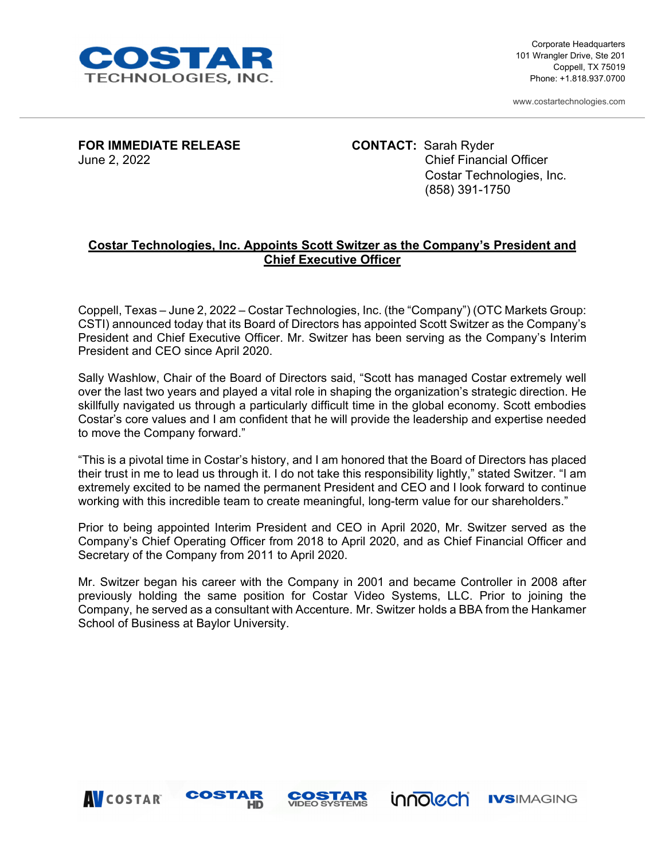

Corporate Headquarters 101 Wrangler Drive, Ste 201 Coppell, TX 75019 Phone: +1.818.937.0700

www.costartechnologies.com

**FOR IMMEDIATE RELEASE CONTACT:** Sarah Ryder

June 2, 2022 Chief Financial Officer Costar Technologies, Inc. (858) 391-1750

## **Costar Technologies, Inc. Appoints Scott Switzer as the Company's President and Chief Executive Officer**

Coppell, Texas – June 2, 2022 – Costar Technologies, Inc. (the "Company") (OTC Markets Group: CSTI) announced today that its Board of Directors has appointed Scott Switzer as the Company's President and Chief Executive Officer. Mr. Switzer has been serving as the Company's Interim President and CEO since April 2020.

Sally Washlow, Chair of the Board of Directors said, "Scott has managed Costar extremely well over the last two years and played a vital role in shaping the organization's strategic direction. He skillfully navigated us through a particularly difficult time in the global economy. Scott embodies Costar's core values and I am confident that he will provide the leadership and expertise needed to move the Company forward."

"This is a pivotal time in Costar's history, and I am honored that the Board of Directors has placed their trust in me to lead us through it. I do not take this responsibility lightly," stated Switzer. "I am extremely excited to be named the permanent President and CEO and I look forward to continue working with this incredible team to create meaningful, long-term value for our shareholders."

Prior to being appointed Interim President and CEO in April 2020, Mr. Switzer served as the Company's Chief Operating Officer from 2018 to April 2020, and as Chief Financial Officer and Secretary of the Company from 2011 to April 2020.

Mr. Switzer began his career with the Company in 2001 and became Controller in 2008 after previously holding the same position for Costar Video Systems, LLC. Prior to joining the Company, he served as a consultant with Accenture. Mr. Switzer holds a BBA from the Hankamer School of Business at Baylor University.

**COSTAR**<br>VIDEO SYSTEMS

innolech

**IVSIMAGING** 



COSTAR

**HD**